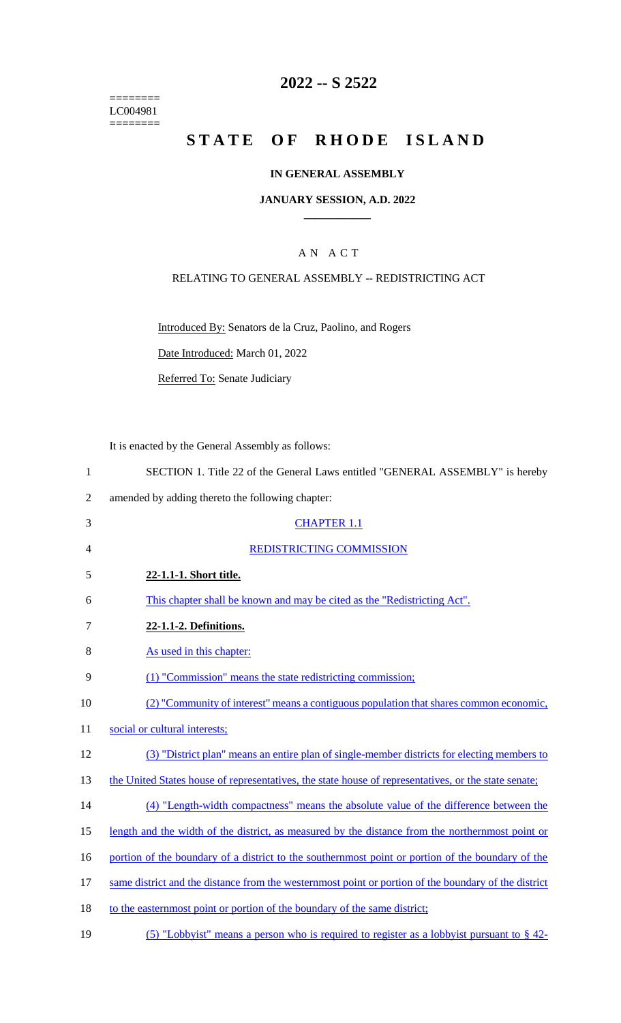======== LC004981 ========

# **2022 -- S 2522**

# **STATE OF RHODE ISLAND**

### **IN GENERAL ASSEMBLY**

### **JANUARY SESSION, A.D. 2022 \_\_\_\_\_\_\_\_\_\_\_\_**

# A N A C T

## RELATING TO GENERAL ASSEMBLY -- REDISTRICTING ACT

Introduced By: Senators de la Cruz, Paolino, and Rogers

Date Introduced: March 01, 2022

Referred To: Senate Judiciary

It is enacted by the General Assembly as follows:

| SECTION 1. Title 22 of the General Laws entitled "GENERAL ASSEMBLY" is hereby |  |
|-------------------------------------------------------------------------------|--|
|-------------------------------------------------------------------------------|--|

- 2 amended by adding thereto the following chapter:
- 3 CHAPTER 1.1 4 REDISTRICTING COMMISSION 5 **22-1.1-1. Short title.**  6 This chapter shall be known and may be cited as the "Redistricting Act". 7 **22-1.1-2. Definitions.**  8 As used in this chapter: 9 (1) "Commission" means the state redistricting commission; 10 (2) "Community of interest" means a contiguous population that shares common economic, 11 social or cultural interests; 12 (3) "District plan" means an entire plan of single-member districts for electing members to 13 the United States house of representatives, the state house of representatives, or the state senate; 14 (4) "Length-width compactness" means the absolute value of the difference between the
- 15 length and the width of the district, as measured by the distance from the northernmost point or
- 16 portion of the boundary of a district to the southernmost point or portion of the boundary of the
- 17 same district and the distance from the westernmost point or portion of the boundary of the district
- 18 to the easternmost point or portion of the boundary of the same district;
- 19 (5) "Lobbyist" means a person who is required to register as a lobbyist pursuant to § 42-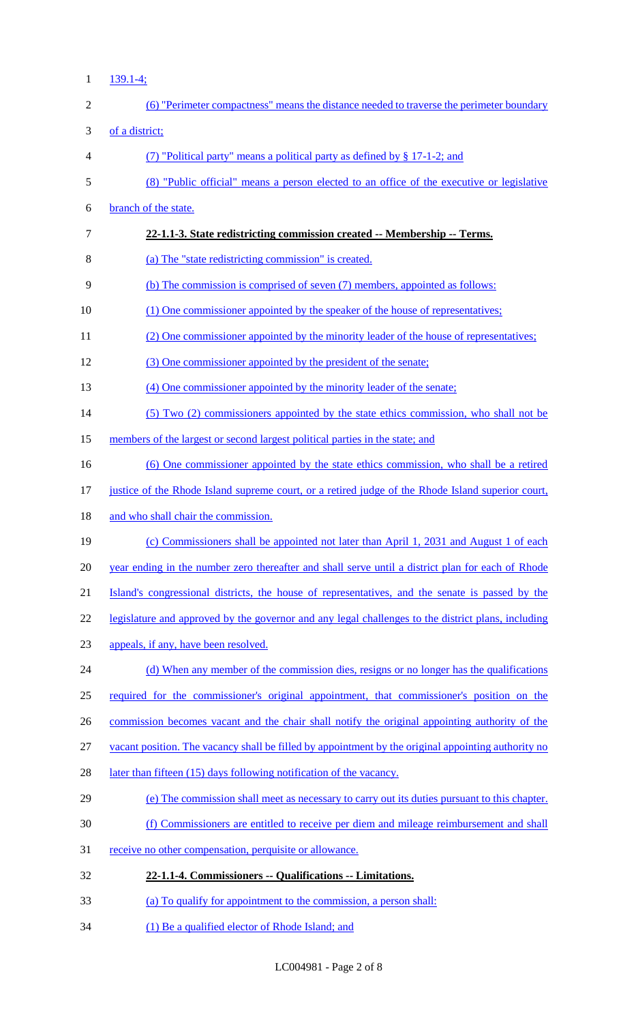1 139.1-4;

| $\overline{2}$ | (6) "Perimeter compactness" means the distance needed to traverse the perimeter boundary            |
|----------------|-----------------------------------------------------------------------------------------------------|
| 3              | of a district;                                                                                      |
| $\overline{4}$ | (7) "Political party" means a political party as defined by $\S 17$ -1-2; and                       |
| $\mathfrak{S}$ | (8) "Public official" means a person elected to an office of the executive or legislative           |
| 6              | branch of the state.                                                                                |
| $\overline{7}$ | 22-1.1-3. State redistricting commission created -- Membership -- Terms.                            |
| 8              | (a) The "state redistricting commission" is created.                                                |
| 9              | (b) The commission is comprised of seven (7) members, appointed as follows:                         |
| 10             | (1) One commissioner appointed by the speaker of the house of representatives;                      |
| 11             | (2) One commissioner appointed by the minority leader of the house of representatives;              |
| 12             | (3) One commissioner appointed by the president of the senate;                                      |
| 13             | (4) One commissioner appointed by the minority leader of the senate;                                |
| 14             | (5) Two (2) commissioners appointed by the state ethics commission, who shall not be                |
| 15             | members of the largest or second largest political parties in the state; and                        |
| 16             | (6) One commissioner appointed by the state ethics commission, who shall be a retired               |
| 17             | justice of the Rhode Island supreme court, or a retired judge of the Rhode Island superior court,   |
| 18             | and who shall chair the commission.                                                                 |
| 19             | (c) Commissioners shall be appointed not later than April 1, 2031 and August 1 of each              |
| 20             | year ending in the number zero thereafter and shall serve until a district plan for each of Rhode   |
| 21             | Island's congressional districts, the house of representatives, and the senate is passed by the     |
| 22             | legislature and approved by the governor and any legal challenges to the district plans, including  |
| 23             | appeals, if any, have been resolved.                                                                |
| 24             | (d) When any member of the commission dies, resigns or no longer has the qualifications             |
| 25             | required for the commissioner's original appointment, that commissioner's position on the           |
| 26             | commission becomes vacant and the chair shall notify the original appointing authority of the       |
| 27             | vacant position. The vacancy shall be filled by appointment by the original appointing authority no |
| 28             | later than fifteen (15) days following notification of the vacancy.                                 |
| 29             | (e) The commission shall meet as necessary to carry out its duties pursuant to this chapter.        |
| 30             | (f) Commissioners are entitled to receive per diem and mileage reimbursement and shall              |
| 31             | receive no other compensation, perquisite or allowance.                                             |
| 32             | 22-1.1-4. Commissioners -- Qualifications -- Limitations.                                           |
| 33             | (a) To qualify for appointment to the commission, a person shall:                                   |
| 34             | (1) Be a qualified elector of Rhode Island; and                                                     |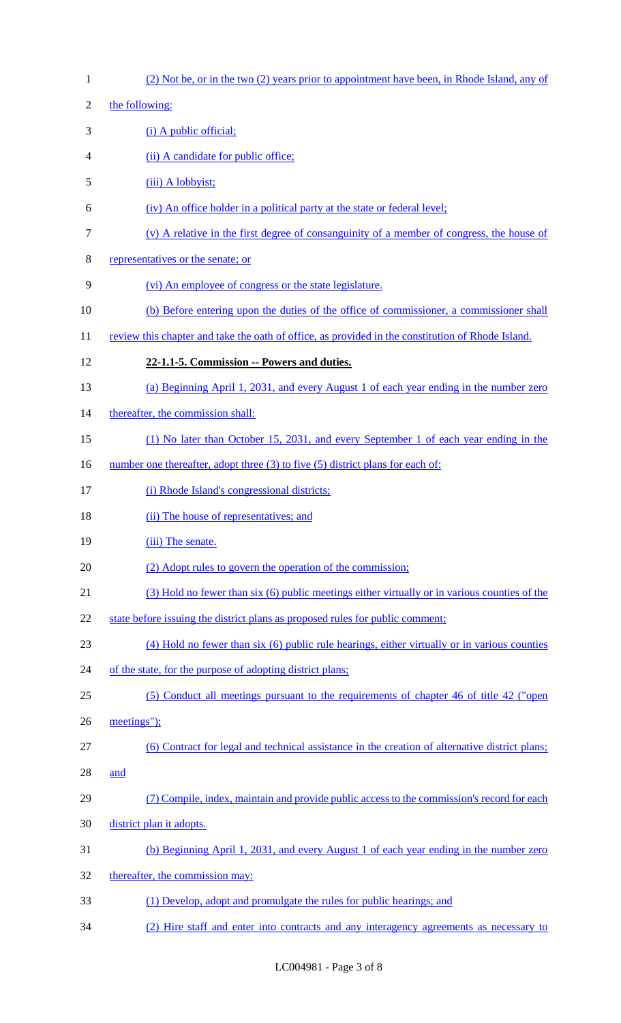| $\mathbf{1}$   | (2) Not be, or in the two (2) years prior to appointment have been, in Rhode Island, any of       |
|----------------|---------------------------------------------------------------------------------------------------|
| $\overline{c}$ | the following:                                                                                    |
| 3              | (i) A public official;                                                                            |
| 4              | (ii) A candidate for public office;                                                               |
| 5              | (iii) A lobbyist;                                                                                 |
| 6              | (iv) An office holder in a political party at the state or federal level;                         |
| 7              | $(v)$ A relative in the first degree of consanguinity of a member of congress, the house of       |
| 8              | representatives or the senate; or                                                                 |
| 9              | (vi) An employee of congress or the state legislature.                                            |
| 10             | (b) Before entering upon the duties of the office of commissioner, a commissioner shall           |
| 11             | review this chapter and take the oath of office, as provided in the constitution of Rhode Island. |
| 12             | 22-1.1-5. Commission -- Powers and duties.                                                        |
| 13             | (a) Beginning April 1, 2031, and every August 1 of each year ending in the number zero            |
| 14             | thereafter, the commission shall:                                                                 |
| 15             | (1) No later than October 15, 2031, and every September 1 of each year ending in the              |
| 16             | number one thereafter, adopt three (3) to five (5) district plans for each of:                    |
| 17             | (i) Rhode Island's congressional districts;                                                       |
| 18             | (ii) The house of representatives; and                                                            |
| 19             | (iii) The senate.                                                                                 |
| 20             | (2) Adopt rules to govern the operation of the commission;                                        |
| 21             | (3) Hold no fewer than six (6) public meetings either virtually or in various counties of the     |
| 22             | state before issuing the district plans as proposed rules for public comment;                     |
| 23             | (4) Hold no fewer than six (6) public rule hearings, either virtually or in various counties      |
| 24             | of the state, for the purpose of adopting district plans;                                         |
| 25             | (5) Conduct all meetings pursuant to the requirements of chapter 46 of title 42 ("open            |
| 26             |                                                                                                   |
| 27             | meetings");                                                                                       |
|                | (6) Contract for legal and technical assistance in the creation of alternative district plans;    |
| 28             | and                                                                                               |
| 29             | (7) Compile, index, maintain and provide public access to the commission's record for each        |
| 30             | district plan it adopts.                                                                          |
| 31             | (b) Beginning April 1, 2031, and every August 1 of each year ending in the number zero            |
| 32             | thereafter, the commission may:                                                                   |
| 33             | (1) Develop, adopt and promulgate the rules for public hearings; and                              |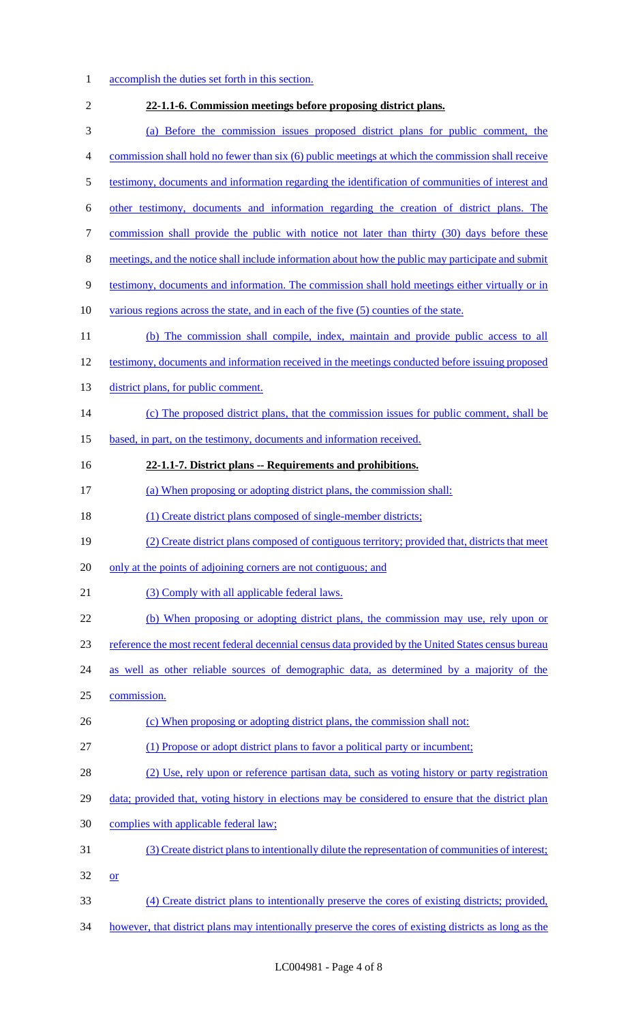- 1 accomplish the duties set forth in this section.
- **22-1.1-6. Commission meetings before proposing district plans.**  (a) Before the commission issues proposed district plans for public comment, the commission shall hold no fewer than six (6) public meetings at which the commission shall receive testimony, documents and information regarding the identification of communities of interest and other testimony, documents and information regarding the creation of district plans. The 7 commission shall provide the public with notice not later than thirty (30) days before these meetings, and the notice shall include information about how the public may participate and submit testimony, documents and information. The commission shall hold meetings either virtually or in various regions across the state, and in each of the five (5) counties of the state. (b) The commission shall compile, index, maintain and provide public access to all testimony, documents and information received in the meetings conducted before issuing proposed 13 district plans, for public comment. 14 (c) The proposed district plans, that the commission issues for public comment, shall be 15 based, in part, on the testimony, documents and information received. **22-1.1-7. District plans -- Requirements and prohibitions.**  (a) When proposing or adopting district plans, the commission shall: 18 (1) Create district plans composed of single-member districts; (2) Create district plans composed of contiguous territory; provided that, districts that meet only at the points of adjoining corners are not contiguous; and 21 (3) Comply with all applicable federal laws. (b) When proposing or adopting district plans, the commission may use, rely upon or reference the most recent federal decennial census data provided by the United States census bureau as well as other reliable sources of demographic data, as determined by a majority of the commission. 26 (c) When proposing or adopting district plans, the commission shall not: (1) Propose or adopt district plans to favor a political party or incumbent; (2) Use, rely upon or reference partisan data, such as voting history or party registration 29 data; provided that, voting history in elections may be considered to ensure that the district plan complies with applicable federal law; (3) Create district plans to intentionally dilute the representation of communities of interest; or (4) Create district plans to intentionally preserve the cores of existing districts; provided, however, that district plans may intentionally preserve the cores of existing districts as long as the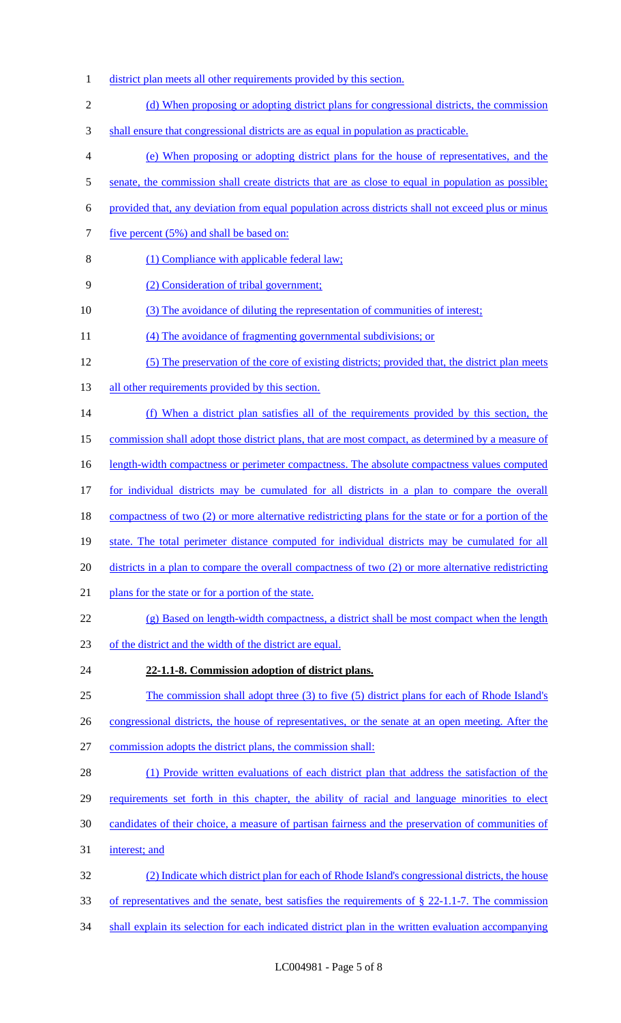- 1 district plan meets all other requirements provided by this section.
- 2 (d) When proposing or adopting district plans for congressional districts, the commission
- 3 shall ensure that congressional districts are as equal in population as practicable.
- 4 (e) When proposing or adopting district plans for the house of representatives, and the
- 5 senate, the commission shall create districts that are as close to equal in population as possible;
- 6 provided that, any deviation from equal population across districts shall not exceed plus or minus
- 7 five percent (5%) and shall be based on:
- 8 (1) Compliance with applicable federal law;
- 9 (2) Consideration of tribal government;
- 10 (3) The avoidance of diluting the representation of communities of interest;
- 11 (4) The avoidance of fragmenting governmental subdivisions; or
- 12 (5) The preservation of the core of existing districts; provided that, the district plan meets
- 13 all other requirements provided by this section.
- 14 (f) When a district plan satisfies all of the requirements provided by this section, the
- 15 commission shall adopt those district plans, that are most compact, as determined by a measure of
- 16 length-width compactness or perimeter compactness. The absolute compactness values computed
- 17 for individual districts may be cumulated for all districts in a plan to compare the overall
- 18 compactness of two (2) or more alternative redistricting plans for the state or for a portion of the
- 19 state. The total perimeter distance computed for individual districts may be cumulated for all
- 20 districts in a plan to compare the overall compactness of two (2) or more alternative redistricting
- 21 plans for the state or for a portion of the state.
- 22 (g) Based on length-width compactness, a district shall be most compact when the length
- 23 of the district and the width of the district are equal.
- 24 **22-1.1-8. Commission adoption of district plans.**
- 25 The commission shall adopt three (3) to five (5) district plans for each of Rhode Island's
- 26 congressional districts, the house of representatives, or the senate at an open meeting. After the
- 27 commission adopts the district plans, the commission shall:
- 28 (1) Provide written evaluations of each district plan that address the satisfaction of the
- 29 requirements set forth in this chapter, the ability of racial and language minorities to elect
- 30 candidates of their choice, a measure of partisan fairness and the preservation of communities of
- 31 interest; and
- 32 (2) Indicate which district plan for each of Rhode Island's congressional districts, the house
- 33 of representatives and the senate, best satisfies the requirements of § 22-1.1-7. The commission
- 34 shall explain its selection for each indicated district plan in the written evaluation accompanying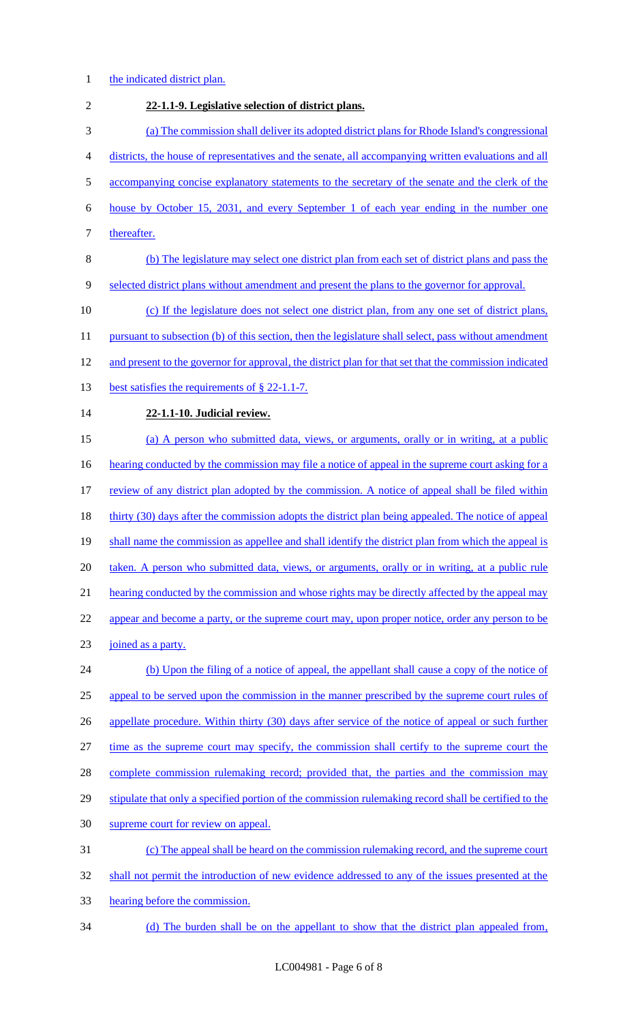- 1 the indicated district plan.
- 2 **22-1.1-9. Legislative selection of district plans.**  3 (a) The commission shall deliver its adopted district plans for Rhode Island's congressional 4 districts, the house of representatives and the senate, all accompanying written evaluations and all 5 accompanying concise explanatory statements to the secretary of the senate and the clerk of the 6 house by October 15, 2031, and every September 1 of each year ending in the number one 7 thereafter. 8 (b) The legislature may select one district plan from each set of district plans and pass the 9 selected district plans without amendment and present the plans to the governor for approval. 10 (c) If the legislature does not select one district plan, from any one set of district plans, 11 pursuant to subsection (b) of this section, then the legislature shall select, pass without amendment 12 and present to the governor for approval, the district plan for that set that the commission indicated 13 best satisfies the requirements of § 22-1.1-7. 14 **22-1.1-10. Judicial review.**  15 (a) A person who submitted data, views, or arguments, orally or in writing, at a public 16 hearting conducted by the commission may file a notice of appeal in the supreme court asking for a 17 review of any district plan adopted by the commission. A notice of appeal shall be filed within 18 thirty (30) days after the commission adopts the district plan being appealed. The notice of appeal 19 shall name the commission as appellee and shall identify the district plan from which the appeal is 20 taken. A person who submitted data, views, or arguments, orally or in writing, at a public rule 21 hearing conducted by the commission and whose rights may be directly affected by the appeal may 22 appear and become a party, or the supreme court may, upon proper notice, order any person to be 23 joined as a party. 24 (b) Upon the filing of a notice of appeal, the appellant shall cause a copy of the notice of 25 appeal to be served upon the commission in the manner prescribed by the supreme court rules of 26 appellate procedure. Within thirty (30) days after service of the notice of appeal or such further 27 time as the supreme court may specify, the commission shall certify to the supreme court the 28 complete commission rulemaking record; provided that, the parties and the commission may 29 stipulate that only a specified portion of the commission rulemaking record shall be certified to the 30 supreme court for review on appeal. 31 (c) The appeal shall be heard on the commission rulemaking record, and the supreme court 32 shall not permit the introduction of new evidence addressed to any of the issues presented at the 33 hearing before the commission. 34 (d) The burden shall be on the appellant to show that the district plan appealed from,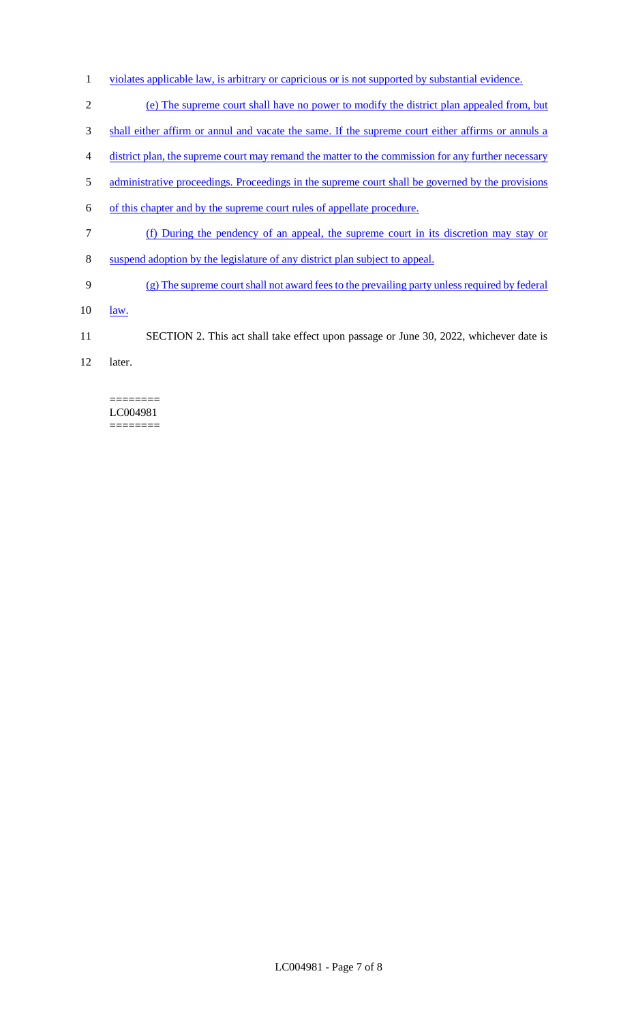- 1 violates applicable law, is arbitrary or capricious or is not supported by substantial evidence.
- 2 (e) The supreme court shall have no power to modify the district plan appealed from, but
- 3 shall either affirm or annul and vacate the same. If the supreme court either affirms or annuls a
- 4 district plan, the supreme court may remand the matter to the commission for any further necessary
- 5 administrative proceedings. Proceedings in the supreme court shall be governed by the provisions
- 6 of this chapter and by the supreme court rules of appellate procedure.
- 7 (f) During the pendency of an appeal, the supreme court in its discretion may stay or
- 8 suspend adoption by the legislature of any district plan subject to appeal.
- 9 (g) The supreme court shall not award fees to the prevailing party unless required by federal
- 10 <u>law.</u>
- 11 SECTION 2. This act shall take effect upon passage or June 30, 2022, whichever date is
- 12 later.

#### ======== LC004981 ========